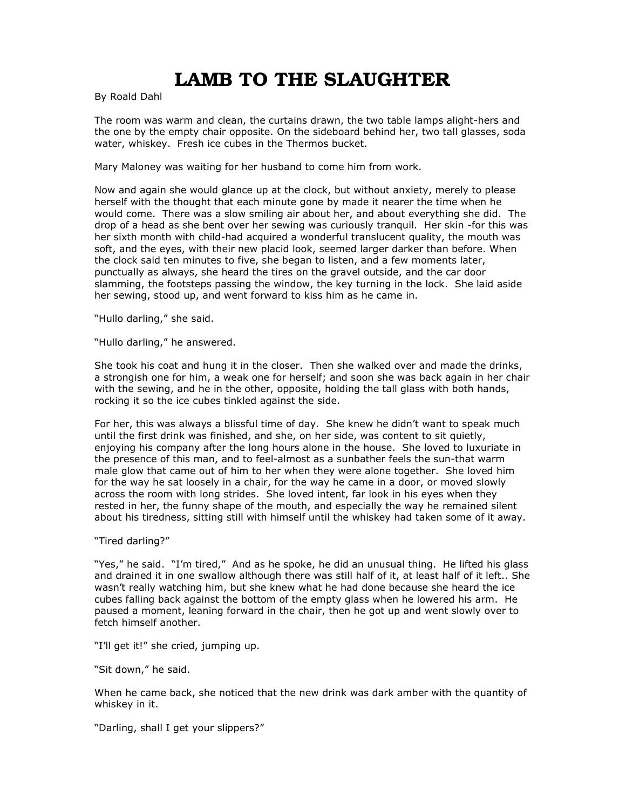## **LAMB TO THE SLAUGHTER**

By Roald Dahl

The room was warm and clean, the curtains drawn, the two table lamps alight-hers and the one by the empty chair opposite. On the sideboard behind her, two tall glasses, soda water, whiskey. Fresh ice cubes in the Thermos bucket.

Mary Maloney was waiting for her husband to come him from work.

Now and again she would glance up at the clock, but without anxiety, merely to please herself with the thought that each minute gone by made it nearer the time when he would come. There was a slow smiling air about her, and about everything she did. The drop of a head as she bent over her sewing was curiously tranguil. Her skin -for this was her sixth month with child-had acquired a wonderful translucent quality, the mouth was soft, and the eyes, with their new placid look, seemed larger darker than before. When the clock said ten minutes to five, she began to listen, and a few moments later, punctually as always, she heard the tires on the gravel outside, and the car door slamming, the footsteps passing the window, the key turning in the lock. She laid aside her sewing, stood up, and went forward to kiss him as he came in.

"Hullo darling," she said.

"Hullo darling," he answered.

She took his coat and hung it in the closer. Then she walked over and made the drinks, a strongish one for him, a weak one for herself; and soon she was back again in her chair with the sewing, and he in the other, opposite, holding the tall glass with both hands, rocking it so the ice cubes tinkled against the side.

For her, this was always a blissful time of day. She knew he didn't want to speak much until the first drink was finished, and she, on her side, was content to sit quietly, enjoying his company after the long hours alone in the house. She loved to luxuriate in the presence of this man, and to feel-almost as a sunbather feels the sun-that warm male glow that came out of him to her when they were alone together. She loved him for the way he sat loosely in a chair, for the way he came in a door, or moved slowly across the room with long strides. She loved intent, far look in his eyes when they rested in her, the funny shape of the mouth, and especially the way he remained silent about his tiredness, sitting still with himself until the whiskey had taken some of it away.

"Tired darling?"

"Yes," he said, "I'm tired," And as he spoke, he did an unusual thing. He lifted his glass and drained it in one swallow although there was still half of it, at least half of it left.. She wasn't really watching him, but she knew what he had done because she heard the ice cubes falling back against the bottom of the empty glass when he lowered his arm. He paused a moment, leaning forward in the chair, then he got up and went slowly over to fetch himself another.

"I'll get it!" she cried, jumping up.

"Sit down," he said.

When he came back, she noticed that the new drink was dark amber with the quantity of whiskey in it.

"Darling, shall I get your slippers?"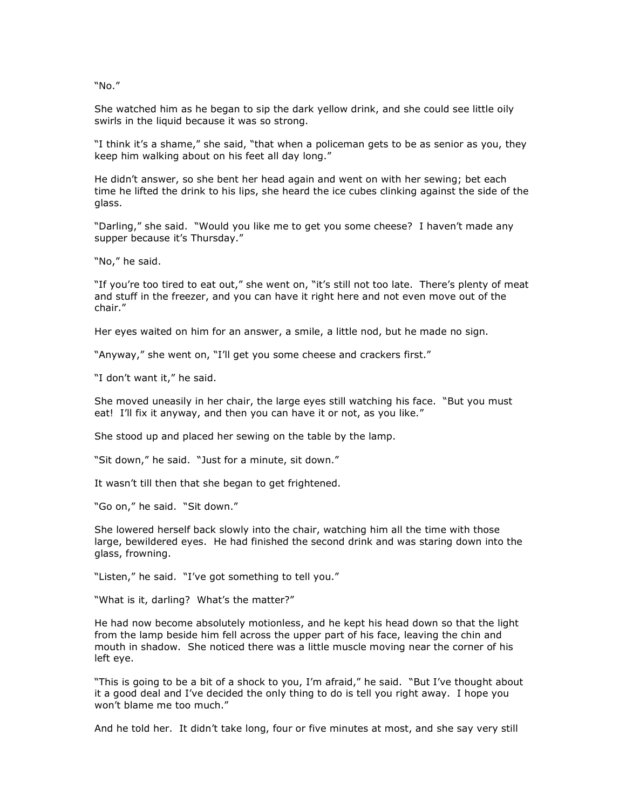"No."

She watched him as he began to sip the dark yellow drink, and she could see little oily swirls in the liquid because it was so strong.

"I think it's a shame," she said, "that when a policeman gets to be as senior as you, they keep him walking about on his feet all day long."

He didn't answer, so she bent her head again and went on with her sewing; bet each time he lifted the drink to his lips, she heard the ice cubes clinking against the side of the glass.

"Darling," she said. "Would you like me to get you some cheese? I haven't made any supper because it's Thursday."

"No," he said.

"If you're too tired to eat out," she went on, "it's still not too late. There's plenty of meat and stuff in the freezer, and you can have it right here and not even move out of the chair."

Her eyes waited on him for an answer, a smile, a little nod, but he made no sign.

"Anyway," she went on, "I'll get you some cheese and crackers first."

"I don't want it," he said.

She moved uneasily in her chair, the large eyes still watching his face. "But you must eat! I'll fix it anyway, and then you can have it or not, as you like."

She stood up and placed her sewing on the table by the lamp.

"Sit down," he said. "Just for a minute, sit down."

It wasn't till then that she began to get frightened.

"Go on," he said. "Sit down."

She lowered herself back slowly into the chair, watching him all the time with those large, bewildered eyes. He had finished the second drink and was staring down into the glass, frowning.

"Listen," he said. "I've got something to tell you."

"What is it, darling? What's the matter?"

He had now become absolutely motionless, and he kept his head down so that the light from the lamp beside him fell across the upper part of his face, leaving the chin and mouth in shadow. She noticed there was a little muscle moving near the corner of his left eye.

"This is going to be a bit of a shock to you, I'm afraid," he said. "But I've thought about it a good deal and I've decided the only thing to do is tell you right away. I hope you won't blame me too much."

And he told her. It didn't take long, four or five minutes at most, and she say very still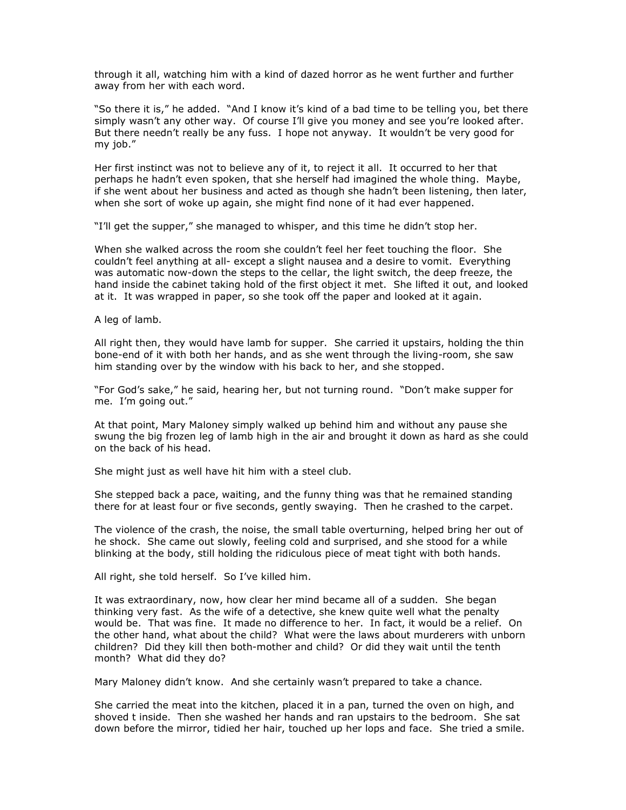through it all, watching him with a kind of dazed horror as he went further and further away from her with each word.

"So there it is," he added. "And I know it's kind of a bad time to be telling you, bet there simply wasn't any other way. Of course I'll give you money and see you're looked after. But there needn't really be any fuss. I hope not anyway. It wouldn't be very good for my job."

Her first instinct was not to believe any of it, to reject it all. It occurred to her that perhaps he hadn't even spoken, that she herself had imagined the whole thing. Maybe, if she went about her business and acted as though she hadn't been listening, then later, when she sort of woke up again, she might find none of it had ever happened.

"I'll get the supper," she managed to whisper, and this time he didn't stop her.

When she walked across the room she couldn't feel her feet touching the floor. She couldn't feel anything at all- except a slight nausea and a desire to vomit. Everything was automatic now-down the steps to the cellar, the light switch, the deep freeze, the hand inside the cabinet taking hold of the first object it met. She lifted it out, and looked at it. It was wrapped in paper, so she took off the paper and looked at it again.

A leg of lamb.

All right then, they would have lamb for supper. She carried it upstairs, holding the thin bone-end of it with both her hands, and as she went through the living-room, she saw him standing over by the window with his back to her, and she stopped.

"For God's sake," he said, hearing her, but not turning round. "Don't make supper for me. I'm going out."

At that point, Mary Maloney simply walked up behind him and without any pause she swung the big frozen leg of lamb high in the air and brought it down as hard as she could on the back of his head.

She might just as well have hit him with a steel club.

She stepped back a pace, waiting, and the funny thing was that he remained standing there for at least four or five seconds, gently swaying. Then he crashed to the carpet.

The violence of the crash, the noise, the small table overturning, helped bring her out of he shock. She came out slowly, feeling cold and surprised, and she stood for a while blinking at the body, still holding the ridiculous piece of meat tight with both hands.

All right, she told herself. So I've killed him.

It was extraordinary, now, how clear her mind became all of a sudden. She began thinking very fast. As the wife of a detective, she knew quite well what the penalty would be. That was fine. It made no difference to her. In fact, it would be a relief. On the other hand, what about the child? What were the laws about murderers with unborn children? Did they kill then both-mother and child? Or did they wait until the tenth month? What did they do?

Mary Maloney didn't know. And she certainly wasn't prepared to take a chance.

She carried the meat into the kitchen, placed it in a pan, turned the oven on high, and shoved t inside. Then she washed her hands and ran upstairs to the bedroom. She sat down before the mirror, tidied her hair, touched up her lops and face. She tried a smile.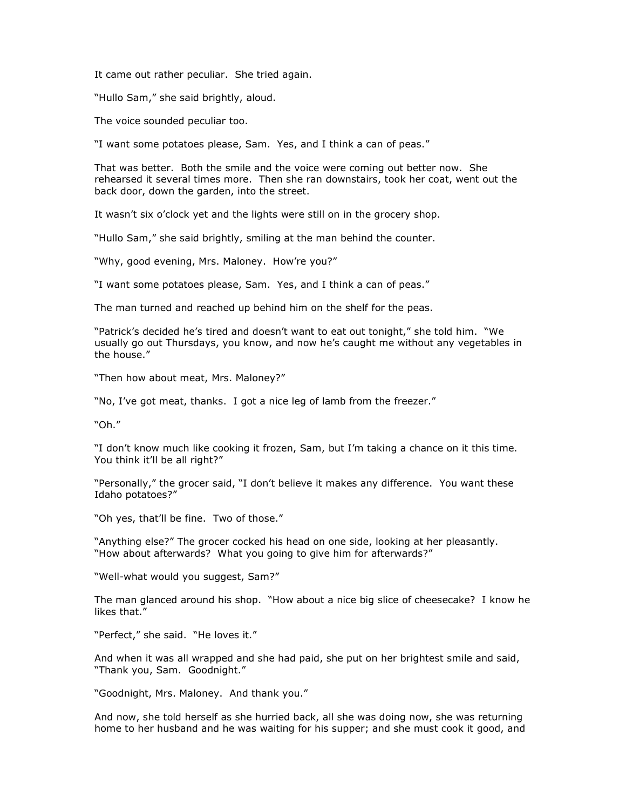It came out rather peculiar. She tried again.

"Hullo Sam," she said brightly, aloud.

The voice sounded peculiar too.

"I want some potatoes please, Sam. Yes, and I think a can of peas."

That was better. Both the smile and the voice were coming out better now. She rehearsed it several times more. Then she ran downstairs, took her coat, went out the back door, down the garden, into the street.

It wasn't six o'clock yet and the lights were still on in the grocery shop.

"Hullo Sam," she said brightly, smiling at the man behind the counter.

"Why, good evening, Mrs. Maloney. How're you?"

"I want some potatoes please, Sam. Yes, and I think a can of peas."

The man turned and reached up behind him on the shelf for the peas.

"Patrick's decided he's tired and doesn't want to eat out tonight," she told him. "We usually go out Thursdays, you know, and now he's caught me without any vegetables in the house."

"Then how about meat, Mrs. Maloney?"

"No, I've got meat, thanks. I got a nice leg of lamb from the freezer."

"Oh."

"I don't know much like cooking it frozen, Sam, but I'm taking a chance on it this time. You think it'll be all right?"

"Personally," the grocer said, "I don't believe it makes any difference. You want these Idaho potatoes?"

"Oh yes, that'll be fine. Two of those."

"Anything else?" The grocer cocked his head on one side, looking at her pleasantly. "How about afterwards? What you going to give him for afterwards?"

"Well-what would you suggest, Sam?"

The man glanced around his shop. "How about a nice big slice of cheesecake? I know he likes that."

"Perfect," she said. "He loves it."

And when it was all wrapped and she had paid, she put on her brightest smile and said, "Thank you, Sam. Goodnight."

"Goodnight, Mrs. Maloney. And thank you."

And now, she told herself as she hurried back, all she was doing now, she was returning home to her husband and he was waiting for his supper; and she must cook it good, and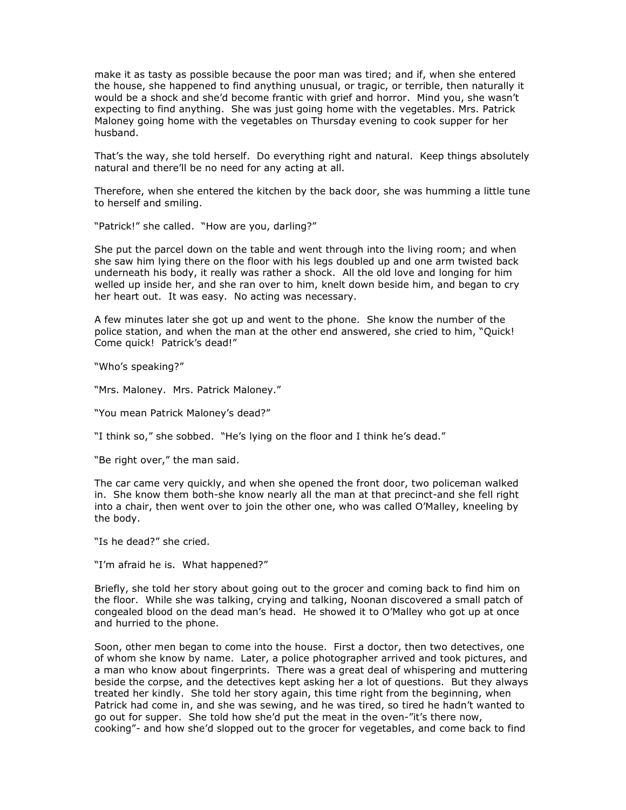make it as tasty as possible because the poor man was tired; and if, when she entered the house, she happened to find anything unusual, or tragic, or terrible, then naturally it would be a shock and she'd become frantic with grief and horror. Mind you, she wasn't expecting to find anything. She was just going home with the vegetables. Mrs. Patrick Maloney going home with the vegetables on Thursday evening to cook supper for her husband.

That's the way, she told herself. Do everything right and natural. Keep things absolutely natural and there'll be no need for any acting at all.

Therefore, when she entered the kitchen by the back door, she was humming a little tune to herself and smiling.

"Patrick!" she called. "How are you, darling?"

She put the parcel down on the table and went through into the living room; and when she saw him lying there on the floor with his legs doubled up and one arm twisted back underneath his body, it really was rather a shock. All the old love and longing for him welled up inside her, and she ran over to him, knelt down beside him, and began to cry her heart out. It was easy. No acting was necessary.

A few minutes later she got up and went to the phone. She know the number of the police station, and when the man at the other end answered, she cried to him, "Quick! Come quick! Patrick's dead!"

"Who's speaking?"

"Mrs. Maloney. Mrs. Patrick Maloney."

"You mean Patrick Maloney's dead?"

"I think so," she sobbed. "He's lying on the floor and I think he's dead."

"Be right over," the man said.

The car came very quickly, and when she opened the front door, two policeman walked in. She know them both-she know nearly all the man at that precinct-and she fell right into a chair, then went over to join the other one, who was called O'Malley, kneeling by the body.

"Is he dead?" she cried.

"I'm afraid he is. What happened?"

Briefly, she told her story about going out to the grocer and coming back to find him on the floor. While she was talking, crying and talking, Noonan discovered a small patch of congealed blood on the dead man's head. He showed it to O'Malley who got up at once and hurried to the phone.

Soon, other men began to come into the house. First a doctor, then two detectives, one of whom she know by name. Later, a police photographer arrived and took pictures, and a man who know about fingerprints. There was a great deal of whispering and muttering beside the corpse, and the detectives kept asking her a lot of questions. But they always treated her kindly. She told her story again, this time right from the beginning, when Patrick had come in, and she was sewing, and he was tired, so tired he hadn't wanted to go out for supper. She told how she'd put the meat in the oven-"it's there now, cooking"- and how she'd slopped out to the grocer for vegetables, and come back to find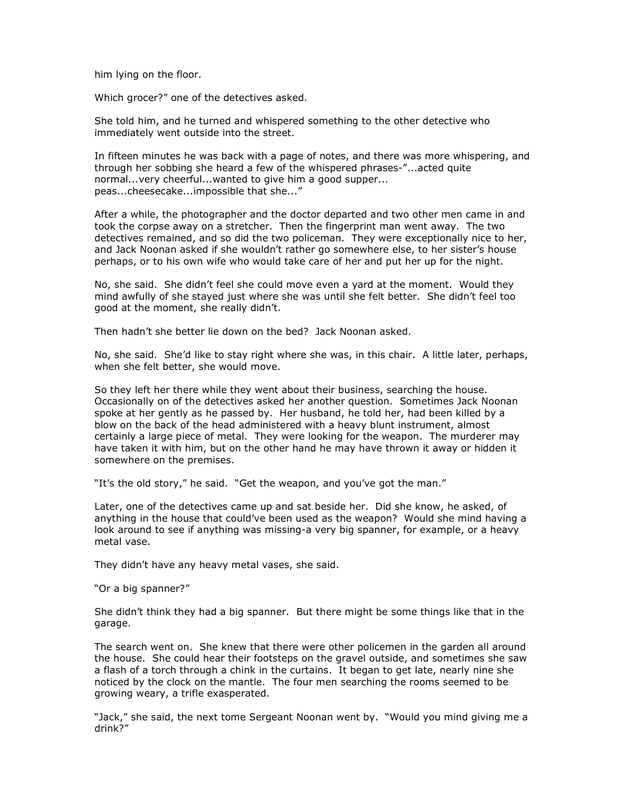him lying on the floor.

Which grocer?" one of the detectives asked.

She told him, and he turned and whispered something to the other detective who immediately went outside into the street.

In fifteen minutes he was back with a page of notes, and there was more whispering, and through her sobbing she heard a few of the whispered phrases-"...acted quite normal... very cheerful... wanted to give him a good supper... peas...cheesecake...impossible that she..."

After a while, the photographer and the doctor departed and two other men came in and took the corpse away on a stretcher. Then the fingerprint man went away. The two detectives remained, and so did the two policeman. They were exceptionally nice to her, and Jack Noonan asked if she wouldn't rather go somewhere else, to her sister's house perhaps, or to his own wife who would take care of her and put her up for the night.

No, she said. She didn't feel she could move even a yard at the moment. Would they mind awfully of she stayed just where she was until she felt better. She didn't feel too good at the moment, she really didn't.

Then hadn't she better lie down on the bed? Jack Noonan asked.

No, she said. She'd like to stay right where she was, in this chair. A little later, perhaps, when she felt better, she would move.

So they left her there while they went about their business, searching the house. Occasionally on of the detectives asked her another question. Sometimes Jack Noonan spoke at her gently as he passed by. Her husband, he told her, had been killed by a blow on the back of the head administered with a heavy blunt instrument, almost certainly a large piece of metal. They were looking for the weapon. The murderer may have taken it with him, but on the other hand he may have thrown it away or hidden it somewhere on the premises.

"It's the old story," he said. "Get the weapon, and you've got the man."

Later, one of the detectives came up and sat beside her. Did she know, he asked, of anything in the house that could've been used as the weapon? Would she mind having a look around to see if anything was missing-a very big spanner, for example, or a heavy metal vase.

They didn't have any heavy metal vases, she said.

"Or a big spanner?"

She didn't think they had a big spanner. But there might be some things like that in the garage.

The search went on. She knew that there were other policemen in the garden all around the house. She could hear their footsteps on the gravel outside, and sometimes she saw a flash of a torch through a chink in the curtains. It began to get late, nearly nine she noticed by the clock on the mantle. The four men searching the rooms seemed to be growing weary, a trifle exasperated.

"Jack," she said, the next tome Sergeant Noonan went by. "Would you mind giving me a  $drink$ ?"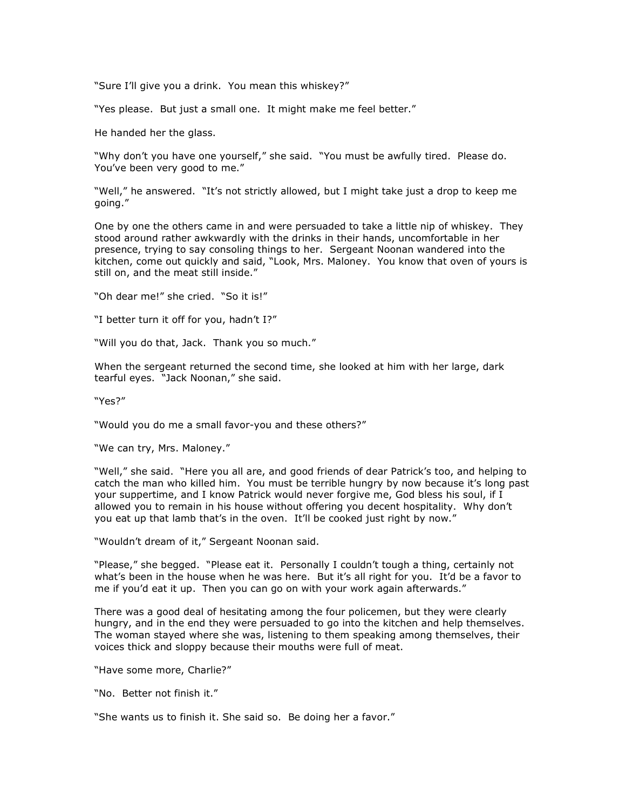"Sure I'll give you a drink. You mean this whiskey?"

"Yes please. But just a small one. It might make me feel better."

He handed her the glass.

"Why don't you have one yourself," she said. "You must be awfully tired. Please do. You've been very good to me."

"Well," he answered. "It's not strictly allowed, but I might take just a drop to keep me qoing."

One by one the others came in and were persuaded to take a little nip of whiskey. They stood around rather awkwardly with the drinks in their hands, uncomfortable in her presence, trying to say consoling things to her. Sergeant Noonan wandered into the kitchen, come out quickly and said, "Look, Mrs. Maloney. You know that oven of yours is still on, and the meat still inside."

"Oh dear me!" she cried. "So it is!"

"I better turn it off for you, hadn't I?"

"Will you do that, Jack. Thank you so much."

When the sergeant returned the second time, she looked at him with her large, dark tearful eyes. "Jack Noonan," she said.

"Yes?"

"Would you do me a small favor-you and these others?"

"We can try, Mrs. Maloney."

"Well," she said. "Here you all are, and good friends of dear Patrick's too, and helping to catch the man who killed him. You must be terrible hungry by now because it's long past your suppertime, and I know Patrick would never forgive me, God bless his soul, if I allowed you to remain in his house without offering you decent hospitality. Why don't you eat up that lamb that's in the oven. It'll be cooked just right by now."

"Wouldn't dream of it," Sergeant Noonan said.

"Please," she begged, "Please eat it. Personally I couldn't tough a thing, certainly not what's been in the house when he was here. But it's all right for you. It'd be a favor to me if you'd eat it up. Then you can go on with your work again afterwards."

There was a good deal of hesitating among the four policemen, but they were clearly hungry, and in the end they were persuaded to go into the kitchen and help themselves. The woman stayed where she was, listening to them speaking among themselves, their voices thick and sloppy because their mouths were full of meat.

"Have some more, Charlie?"

"No. Better not finish it."

"She wants us to finish it. She said so. Be doing her a favor."